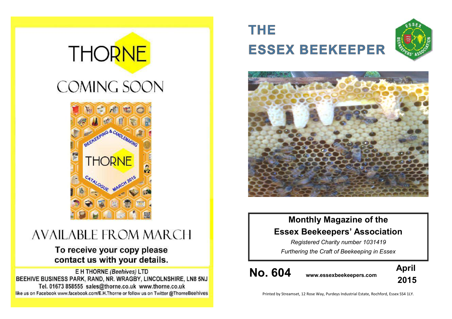# **THORNE COMING SOON**



## **AVAILABLE FROM MARCH**

## To receive your copy please contact us with your details.

E H THORNE (Beehives) LTD BEEHIVE BUSINESS PARK, RAND, NR. WRAGBY, LINCOLNSHIRE, LN8 5NJ Tel. 01673 858555 sales@thorne.co.uk www.thorne.co.uk like us on Facebook www.facebook.com/E.H.Thorne or follow us on Twitter @ThorneBeehives

## **THE ESSEX BEEKEEPER**





## **Monthly Magazine of the Essex Beekeepers' Association**

*Registered Charity number 1031419 Furthering the Craft of Beekeeping in Essex*

**No. 604 www.essexbeekeepers.com**



Printed by Streamset, 12 Rose Way, Purdeys Industrial Estate, Rochford, Essex SS4 1LY.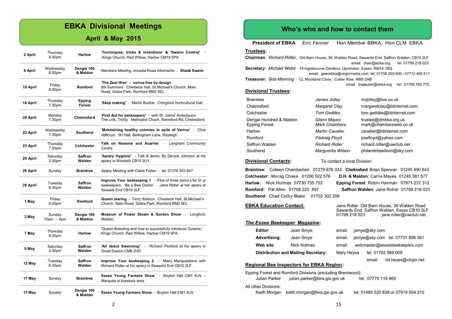#### **EBKA Divisional Meetings**

#### **April & May 2015**

| 2 April  | Thursday<br>8.00pm   | <b>Harlow</b>            | 'Techniques, tricks & inventions' & 'Swarm Control'<br>Kings Church, Red Willow, Harlow CM19 5PA                                                    |  |
|----------|----------------------|--------------------------|-----------------------------------------------------------------------------------------------------------------------------------------------------|--|
| 8 April  | Wednesday<br>6.00pm  | Dengie 100<br>& Maldon   | Members Meeting, Arcadia Road Allotments - Shook Swarm                                                                                              |  |
| 10 April | Friday<br>8.00pm     | Romford                  | 'The Zest Hive' - varroa free by design.<br>Bill Summers Chadwick Hall, St.Michael's Church, Main<br>Road, Gidea Park, Romford RM2 5EL              |  |
| 16 April | Thursday<br>7.30pm   | Epping<br>Forest         | 'Skep making' - Martin Buckle. Chingford Horticultural Hall.                                                                                        |  |
| 20 April | Monday<br>7.30pm     | Chelmsford               | 'First Aid for beekeepers' - with St. Johns' Ambulance<br>The Link, Trinity Methodist Chuch, Rainsford Rd, Chelmsford                               |  |
| 22 April | Wednesday<br>7.30pm  | Southend                 | 'Maintaining healthy colonies in spite of Varroa' - Clive<br>deBruyn. WI Hall, Bellingham Lane, Rayleigh                                            |  |
| 23 April | Thursday<br>7.30pm   | Colchester               | Talk on Nosema and Acarine<br>Langham Community<br>Centre                                                                                           |  |
| 25 April | Saturday<br>2.00pm   | <b>Saffron</b><br>Walden | 'Apiary Hygiene' - Talk & demo. By Deryck Johnson at his<br>apiary in Wimbish CB10 2UY.                                                             |  |
| 26 April | Sunday               | <b>Braintree</b>         | Apiary Meeting with Claire Fisher - tel: 01376 503 647                                                                                              |  |
| 28 April | Tuesday<br>6.30pm    | <b>Saffron</b><br>Walden | Improve Your beekeeping 1 - First of three demo's for 3+ yr<br>beekeepers. 'Be a Bee Doctor' - Jane Ridler at her apiary at<br>Sewads End CB10 2LF. |  |
| 1 May    | Friday<br>8.00pm     | Romford                  | Queen rearing - Terry Watson. Chadwick Hall, St. Michael's<br>Church, Main Road, Gidea Park, Romford RM2 5EL                                        |  |
| 3 May    | Sunday<br>10am - 4pm | Dengie 100<br>& Maldon   | Museum of Power Steam & Garden Show<br>Langford,<br>Maldon.                                                                                         |  |
| 7 May    | Thursday<br>8.00pm   | <b>Harlow</b>            | 'Queen Breeding and how to successfully introduce Queens'.<br>Kings Church, Red Willow, Harlow CM19 5PA                                             |  |
| 9 May    | Saturday<br>2.00pm   | <b>Saffron</b><br>Walden | 'All about Swarming'<br>- Richard Pickford at his apiary in<br>Great Easton CM6 2HD.                                                                |  |
| 12 May   | Tuesday<br>6.30pm    | Saffron<br>Walden        | <b>Improve Your beekeeping 2</b> - Many Manipulations with<br>Richard Ridler at his apiary in Sewards End CB10 2LF.                                 |  |
| 17 May   | Sunday               | <b>Braintree</b>         | <b>Essex Young Farmers Show</b><br>Boyton Hall CM1 4LN -<br>$\sim$<br>Marquee in livestock area.                                                    |  |
| 17 May   | Sunday               | Dengie 100<br>& Maldon   | Essex Young Farmers Show - Boyton Hall CM1 4LN.                                                                                                     |  |

#### **Who's who and how to contact them**

**President of EBKA** *Eric Fenner* Hon Member BBKA, Hon CLM EBKA

#### **Trustees:**

|                             | Chairman: Richard Ridler, Old Barn House, 36, Walden Road, Sewards End, Saffron Walden, CB10 2LF |                                         |                    |
|-----------------------------|--------------------------------------------------------------------------------------------------|-----------------------------------------|--------------------|
|                             |                                                                                                  | email chair@ebka.org tel. 01799 218 023 |                    |
|                             | <b>Secretary:</b> Michael Webb 19 Ingrebourne Gardens, Upminster, Essex RM14 1BQ                 |                                         |                    |
|                             | email qsecebka@virqinmedia.com tel. 01708 250 606 / 07712 490 511                                |                                         |                    |
|                             | <b>Treasurer: Bob Manning 12, Moorland Close, Collier Row, RM5 2AB</b>                           |                                         |                    |
|                             |                                                                                                  | email treasurer@ebka.org                | tel: 01708 760 770 |
| <b>Divisional Trustees:</b> |                                                                                                  |                                         |                    |

| <b>Braintree</b>                                | James Jolley                        | mrjolley@live.co.uk                            |
|-------------------------------------------------|-------------------------------------|------------------------------------------------|
| Chelmsford                                      | Margaret Clay                       | margaretclay@btinternet.com                    |
| Colchester                                      | <b>Tom Geddes</b>                   | tom.geddes@btinternet.com                      |
| Dengie Hundred & Maldon<br><b>Epping Forest</b> | Glenn Mayes<br><b>Mark Chambers</b> | trustee@dmbka.org.uk<br>mark@chambersweb.co.uk |
| Harlow                                          | <b>Martin Cavalier</b>              | cavalier@btinternet.com                        |
| Romford                                         | Pádraig Floyd                       | psafloyd@yahoo.com                             |
| Saffron Walden                                  | <b>Richard Ridler</b>               | richard.ridler@uwclub.net                      |
| Southend                                        | Marquerita Wilson                   | philandritawilson@sky.com                      |

#### **Divisional Contacts:** To contact a local Division:

**Braintree**: Colleen Chamberlain 01279 876 333 **Chelmsford**: Brian Spencer 01245 490 843 **Colchester**: Morag Chase 01206 522 576 **D.H. & Maldon**: Carlie Mayes 01245 381 577 **Harlow**: Nick Holmes 07730 735 752 **Epping Forest**: Robin Harman 07971 237 312 **Romford:** Pat Allen 01708 220 897 **Saffron Walden**: Jane Ridler 01799 218 023 **Southend**: Chad Colby-Blake 01702 302 209

| <b>EBKA Education Contact:</b>             | Jane Ridler Old Barn House, 36 Walden Road<br>Sewards End, Saffron Walden, Essex CB10 2LF<br>01799 218 023<br>jane.ridler@uwclub.net |            |  |               |                                  |
|--------------------------------------------|--------------------------------------------------------------------------------------------------------------------------------------|------------|--|---------------|----------------------------------|
| The Essex Beekeeper Magazine:              |                                                                                                                                      |            |  |               |                                  |
| Editor <sup>.</sup>                        | Jean Smye,                                                                                                                           | email:     |  | jsmye@sky.com |                                  |
| Advertising:                               | Jean Smye                                                                                                                            | email:     |  |               | jsmye@sky.com tel. 07731 856 361 |
| Web site:                                  | Nick Holmes                                                                                                                          | email:     |  |               | webmaster@essexbeekeepers.com    |
| <b>Distribution and Mailing Secretary:</b> |                                                                                                                                      | Mary Heyes |  |               | tel. 01702 588 009               |
|                                            | ml.heyes@virgin.net<br>email:<br><b>Regional Bee Inspectors for EBKA Region:</b>                                                     |            |  |               |                                  |

|                      | Epping Forest and Romford Divisions (excluding Brentwood): |                                     |
|----------------------|------------------------------------------------------------|-------------------------------------|
| Julian Parker        | julian.parker@fera.gsi.gov.uk                              | tel. 07775 119 469                  |
| All other Divisions: |                                                            |                                     |
| Keith Morgan         | keith.morgan@fera.gsi.gov.uk                               | tel. 01485 520 838 or 07919 004 215 |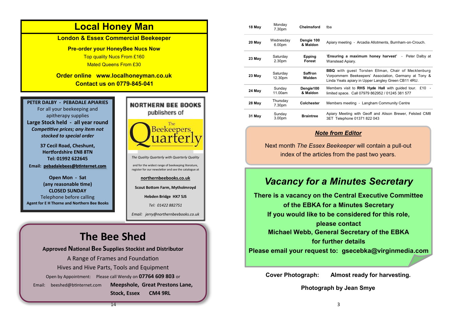

| 18 May | ivioliua y<br>7.30pm | Chelmsford               | tba                                                                                                                                                                        |
|--------|----------------------|--------------------------|----------------------------------------------------------------------------------------------------------------------------------------------------------------------------|
| 20 May | Wednesday<br>6.00pm  | Dengie 100<br>& Maldon   | Apiary meeting - Arcadia Allotments, Burnham-on-Crouch.                                                                                                                    |
| 23 May | Saturday<br>2.30pm   | Epping<br><b>Forest</b>  | 'Ensuring a maximum honey harvest' - Peter Dalby at<br>Wanstead Apiary.                                                                                                    |
| 23 May | Saturday<br>12.30pm  | <b>Saffron</b><br>Walden | <b>BBQ</b> with guest Torsten Ellman, Chair of Mecklenburg<br>Vorpommern Beekeepers' Association, Germany at Tony &<br>Linda Yeats apiary in Upper Langley Green CB11 4RU. |
| 24 May | Sunday<br>11.00am    | Dengie100<br>& Maldon    | Members visit to RHS Hyde Hall with quided tour. £10 -<br>limited space. Call 07979 862952 / 01245 381 577                                                                 |
| 28 May | Thursday<br>7.30pm   | Colchester               | Members meeting - Langham Community Centre                                                                                                                                 |
| 31 May | Sunday<br>3.00pm     | <b>Braintree</b>         | Apiary Meeting with Geoff and Alison Brewer, Felsted CM8<br>3ET Telephone 01371 822 043                                                                                    |
|        |                      |                          |                                                                                                                                                                            |

#### *Note from Editor*

Next month *The Essex Beekeeper* will contain a pull-out index of the articles from the past two years.

## *Vacancy for a Minutes Secretary*

**There is a vacancy on the Central Executive Committee of the EBKA for a Minutes Secretary If you would like to be considered for this role, please contact Michael Webb, General Secretary of the EBKA for further details Please email your request to: [gsecebka@virginmedia.com](mailto:gsecebka@virginmedia.com)**

**Cover Photograph: Almost ready for harvesting.**

**Photograph by Jean Smye**

3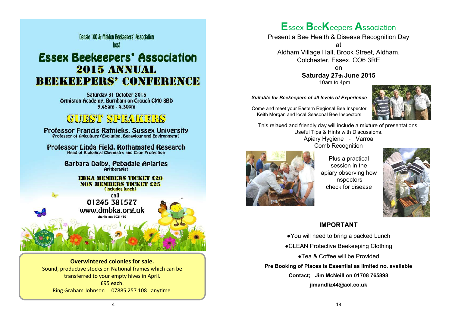Dengie 100 & Maldon Reekeepers' Association host

## **Essex Beekeepers' Association** 2015 ANNUAL **BEEKEEPERS' CONFERENCE**

Saturday 31 October 2015 Ormiston Academy, Burnham-on-Crouch CM0 8BD 9.45am - 4.30pm

## GUEST SPEARERS

**Professor Francis Ratnieks, Sussex University** Professor of Apiculture (Evolution, Behaviour and Environment)

Professor Linda Field, Rothamsted Research **Head of Biological Chemistry and Crop Protection** 

> Barbara Dalby, Pebadale Apiaries **Apitherapist**

#### **ERKA MEMBERS TICKET £20 NON MEMBERS TICKET £25** (includes lunch)

call 01245 381577 www.dmbka.org.uk charity no: 1031419

**Overwintered colonies for sale.**  Sound, productive stocks on National frames which can be transferred to your empty hives in April. £95 each.

Ring Graham Johnson 07885 257 108 anytime.

## **E**ssex **B**ee**K**eepers **A**ssociation

Present a Bee Health & Disease Recognition Day

at Aldham Village Hall, Brook Street, Aldham, Colchester, Essex. CO6 3RE

> on **Saturday 27th June 2015** 10am to 4pm

*Suitable for Beekeepers of all levels of Experience*



Come and meet your Eastern Regional Bee Inspector Keith Morgan and local Seasonal Bee Inspectors

This relaxed and friendly day will include a mixture of presentations, Useful Tips & Hints with Discussions. Apiary Hygiene - Varroa Comb Recognition



Plus a practical session in the apiary observing how inspectors check for disease



#### **IMPORTANT**

●You will need to bring a packed Lunch ●CLEAN Protective Beekeeping Clothing ●Tea & Coffee will be Provided **Pre Booking of Places is Essential as limited no. available Contact; Jim McNeill on 01708 765898 jimandliz44@aol.co.uk**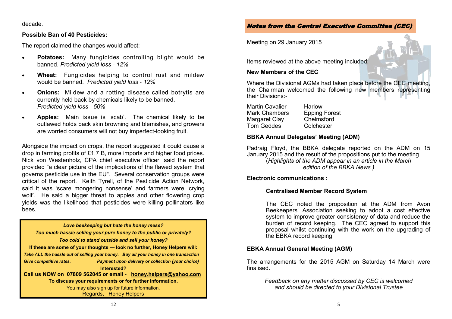decade.

#### **Possible Ban of 40 Pesticides:**

The report claimed the changes would affect:

- **Potatoes:** Many fungicides controlling blight would be banned. *Predicted yield loss* - *12%*
- **Wheat:** Fungicides helping to control rust and mildew would be banned. *Predicted yield loss* - *12%*
- **Onions:** Mildew and a rotting disease called botrytis are currently held back by chemicals likely to be banned. *Predicted yield loss* - *50%*
- **Apples:** Main issue is 'scab'. The chemical likely to be outlawed holds back skin browning and blemishes, and growers are worried consumers will not buy imperfect-looking fruit.

Alongside the impact on crops, the report suggested it could cause a drop in farming profits of £1.7 B, more imports and higher food prices. Nick von Westenholz, CPA chief executive officer, said the report provided "a clear picture of the implications of the flawed system that governs pesticide use in the EU". Several conservation groups were critical of the report. Keith Tyrell, of the Pesticide Action Network, said it was 'scare mongering nonsense' and farmers were 'crying wolf'. He said a bigger threat to apples and other flowering crop yields was the likelihood that pesticides were killing pollinators like bees.

#### *Love beekeeping but hate the honey mess?*

*Too much hassle selling your pure honey to the public or privately? Too cold to stand outside and sell your honey?*

**If these are some of your thoughts — look no further, Honey Helpers will:** *Take ALL the hassle out of selling your honey. Buy all your honey in one transaction Give competitive rates. Payment upon delivery or collection (your choice)*

#### **Interested?**

**Call us NOW on 07809 562045 or email - [honey.helpers@yahoo.com](mailto:honey.helpers@yahoo.com) To discuss your requirements or for further information.**

You may also sign up for future information. Regards, Honey Helpers

#### Notes from the Central Executive Committee (CEC)

Meeting on 29 January 2015

Items reviewed at the above meeting included:

#### **New Members of the CEC**

Where the Divisional AGMs had taken place before the CEC meeting, the Chairman welcomed the following new members representing their Divisions:-

Martin Cavalier Harlow Mark Chambers Epping Forest<br>Margaret Clay Chelmsford Margaret Clay Tom Geddes Colchester

#### **BBKA Annual Delegates' Meeting (ADM)**

Padraig Floyd, the BBKA delegate reported on the ADM on 15 January 2015 and the result of the propositions put to the meeting. (*Highlights of the ADM appear in an article in the March edition of the BBKA News.)*

#### **Electronic communications :**

#### **Centralised Member Record System**

The CEC noted the proposition at the ADM from Avon Beekeepers' Association seeking to adopt a cost effective system to improve greater consistency of data and reduce the burden of record keeping. The CEC agreed to support this proposal whilst continuing with the work on the upgrading of the EBKA record keeping.

#### **EBKA Annual General Meeting (AGM)**

The arrangements for the 2015 AGM on Saturday 14 March were finalised.

*Feedback on any matter discussed by CEC is welcomed and should be directed to your Divisional Trustee*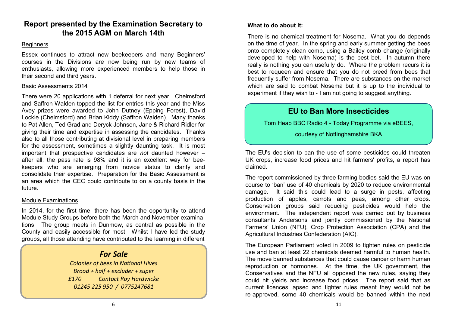#### **Report presented by the Examination Secretary to the 2015 AGM on March 14th**

#### **Beginners**

Essex continues to attract new beekeepers and many Beginners' courses in the Divisions are now being run by new teams of enthusiasts, allowing more experienced members to help those in their second and third years.

#### Basic Assessments 2014

There were 20 applications with 1 deferral for next year. Chelmsford and Saffron Walden topped the list for entries this year and the Miss Avey prizes were awarded to John Dutney (Epping Forest), David Lockie (Chelmsford) and Brian Kiddy (Saffron Walden). Many thanks to Pat Allen, Ted Grad and Deryck Johnson, Jane & Richard Ridler for giving their time and expertise in assessing the candidates. Thanks also to all those contributing at divisional level in preparing members for the assessment, sometimes a slightly daunting task. It is most important that prospective candidates are *not* daunted however – after all, the pass rate is 98% and it is an excellent way for beekeepers who are emerging from novice status to clarify and consolidate their expertise. Preparation for the Basic Assessment is an area which the CEC could contribute to on a county basis in the future.

#### Module Examinations

In 2014, for the first time, there has been the opportunity to attend Module Study Groups before both the March and November examinations. The group meets in Dunmow, as central as possible in the County and easily accessible for most. Whilst I have led the study groups, all those attending have contributed to the learning in different

#### *For Sale*

*Colonies of bees in National Hives Brood + half + excluder + super £170 Contact Roy Hardwicke 01245 225 950 / 0775247681*

#### **What to do about it:**

There is no chemical treatment for Nosema. What you do depends on the time of year. In the spring and early summer getting the bees onto completely clean comb, using a Bailey comb change (originally developed to help with Nosema) is the best bet. In autumn there really is nothing you can usefully do. Where the problem recurs it is best to requeen and ensure that you do not breed from bees that frequently suffer from Nosema. There are substances on the market which are said to combat Nosema but it is up to the individual to experiment if they wish to - I am not going to suggest anything.

#### **EU to Ban More Insecticides**

Tom Heap BBC Radio 4 - Today Programme via eBEES,

courtesy of Nottinghamshire BKA

The EU's decision to ban the use of some pesticides could threaten UK crops, increase food prices and hit farmers' profits, a report has claimed.

The report commissioned by three farming bodies said the EU was on course to 'ban' use of 40 chemicals by 2020 to reduce environmental damage. It said this could lead to a surge in pests, affecting production of apples, carrots and peas, among other crops. Conservation groups said reducing pesticides would help the environment. The independent report was carried out by business consultants Andersons and jointly commissioned by the National Farmers' Union (NFU), Crop Protection Association (CPA) and the Agricultural Industries Confederation (AIC).

The European Parliament voted in 2009 to tighten rules on pesticide use and ban at least 22 chemicals deemed harmful to human health. The move banned substances that could cause cancer or harm human reproduction or hormones. At the time, the UK government, the Conservatives and the NFU all opposed the new rules, saying they could hit yields and increase food prices. The report said that as current licences lapsed and tighter rules meant they would not be re-approved, some 40 chemicals would be banned within the next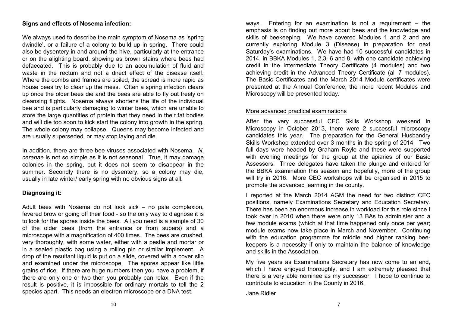#### **Signs and effects of Nosema infection:**

We always used to describe the main symptom of Nosema as 'spring dwindle', or a failure of a colony to build up in spring. There could also be dysentery in and around the hive, particularly at the entrance or on the alighting board, showing as brown stains where bees had defaecated. This is probably due to an accumulation of fluid and waste in the rectum and not a direct effect of the disease itself. Where the combs and frames are soiled, the spread is more rapid as house bees try to clear up the mess. Often a spring infection clears up once the older bees die and the bees are able to fly out freely on cleansing flights. Nosema always shortens the life of the individual bee and is particularly damaging to winter bees, which are unable to store the large quantities of protein that they need in their fat bodies and will die too soon to kick start the colony into growth in the spring. The whole colony may collapse. Queens may become infected and are usually superseded, or may stop laying and die.

In addition, there are three bee viruses associated with Nosema. *N. ceranae* is not so simple as it is not seasonal. True, it may damage colonies in the spring, but it does not seem to disappear in the summer. Secondly there is no dysentery, so a colony may die, usually in late winter/ early spring with no obvious signs at all.

#### **Diagnosing it:**

Adult bees with Nosema do not look sick – no pale complexion, fevered brow or going off their food - so the only way to diagnose it is to look for the spores inside the bees. All you need is a sample of 30 of the older bees (from the entrance or from supers) and a microscope with a magnification of 400 times. The bees are crushed, very thoroughly, with some water, either with a pestle and mortar or in a sealed plastic bag using a rolling pin or similar implement. A drop of the resultant liquid is put on a slide, covered with a cover slip and examined under the microscope. The spores appear like little grains of rice. If there are huge numbers then you have a problem, if there are only one or two then you probably can relax. Even if the result is positive, it is impossible for ordinary mortals to tell the 2 species apart. This needs an electron microscope or a DNA test.

ways. Entering for an examination is not a requirement – the emphasis is on finding out more about bees and the knowledge and skills of beekeeping. We have covered Modules 1 and 2 and are currently exploring Module 3 (Disease) in preparation for next Saturday's examinations. We have had 10 successful candidates in 2014, in BBKA Modules 1, 2,3, 6 and 8, with one candidate achieving credit in the Intermediate Theory Certificate (4 modules) and two achieving credit in the Advanced Theory Certificate (all 7 modules). The Basic Certificates and the March 2014 Module certificates were presented at the Annual Conference; the more recent Modules and Microscopy will be presented today.

#### More advanced practical examinations

After the very successful CEC Skills Workshop weekend in Microscopy in October 2013, there were 2 successful microscopy candidates this year. The preparation for the General Husbandry Skills Workshop extended over 3 months in the spring of 2014. Two full days were headed by Graham Royle and these were supported with evening meetings for the group at the apiaries of our Basic Assessors. Three delegates have taken the plunge and entered for the BBKA examination this season and hopefully, more of the group will try in 2016. More CEC workshops will be organised in 2015 to promote the advanced learning in the county.

I reported at the March 2014 AGM the need for two distinct CEC positions, namely Examinations Secretary and Education Secretary. There has been an enormous increase in workload for this role since I took over in 2010 when there were only 13 BAs to administer and a few module exams (which at that time happened only once per year; module exams now take place in March and November. Continuing with the education programme for middle and higher ranking beekeepers is a necessity if only to maintain the balance of knowledge and skills in the Association.

My five years as Examinations Secretary has now come to an end, which I have enjoyed thoroughly, and I am extremely pleased that there is a very able nominee as my successor. I hope to continue to contribute to education in the County in 2016.

Jane Ridler